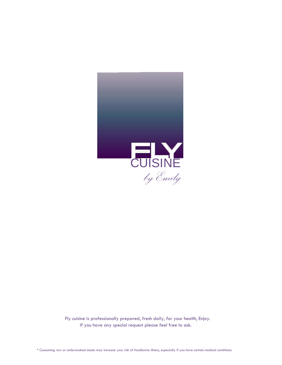

 Fly cuisine is professionally prepared, fresh daily, for your health, Enjoy. If you have any special request please feel free to ask.

\* Consuming raw or undercooked meats may increase your risk of foodborne illness, especially if you have certain medical conditions.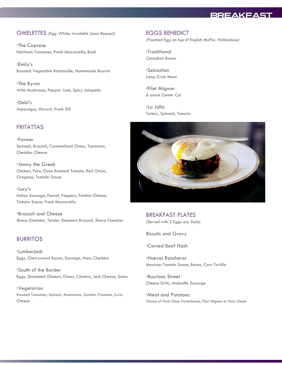# **BREAKFAST**

#### OMELETTES *(Egg Whites Available Upon Request)*

\*The Caprese Heirloom Tomatoes, Fresh Mozzarella, Basil

\*Emily's Roasted Vegetable Ratatouille, Homemade Boursin

\*The Byron Wild Mushroom, Pepper Jack, Spicy Jalapeño

\*Debi's Asparagus, Havarti, Fresh Dill

## FRITATTAS

\*Farmer Spinach, Broccoli, Caramelized Onion, Tomatoes, Cheddar Cheese

\*Jimmy the Greek Chicken, Feta, Oven Roasted Tomato, Red Onion, Oregano, Tzatziki Sauce

\*Lucy's Italian Sausage, Fennel, Peppers, Fontina Cheese, Tomato Sauce, Fresh Mozzarella

\*Broccoli and Cheese Sharp Cheddar, Tender Steamed Broccoli, Sharp Cheddar

#### BURRITOS

\*Lumberjack Eggs, Cherrywood Bacon, Sausage, Ham, Cheddar

\*South of the Border Eggs, Shredded Chicken, Onion, Cilantro, Jack Cheese, Salsa

\*Vegetarian Roasted Tomatoes, Spinach, Mushrooms, Zucchini, Potatoes, Swiss Cheese

#### EGGS BENEDICT

*(Poached Egg on top of English Muffin, Hollandaise)*

\*Traditional Canadian Bacon

\*Sebastian Lump Crab Meat

\*Filet Mignon 6 ounce Center Cut

\*La Jolla Turkey, Spinach, Tomato



BREAKFAST PLATES *(Served with 2 Eggs any Style)*

Biscuits and Gravy

\*Corned Beef Hash

\*Huevos Rancheros Mexican Tomato Sauce, Beans, Corn Tortilla

\*Bourbon Street Cheese Grits, Andouille Sausage

\*Meat and Potatoes Choice of Pork Chop Porterhouse, Filet Mignon or Ham Steak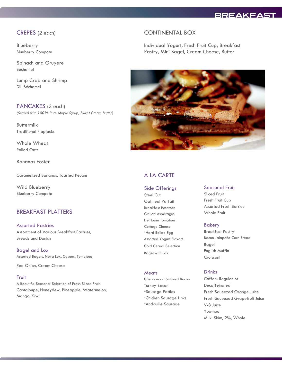# **BREAKFAST**

## CREPES (2 each)

Blueberry Blueberry Compote

Spinach and Gruyere Béchamel

Lump Crab and Shrimp Dill Béchamel

PANCAKES (3 each) *(Served with 100% Pure Maple Syrup, Sweet Cream Butter)*

Buttermilk Traditional Flapjacks

Whole Wheat Rolled Oats

Bananas Foster

Caramelized Bananas, Toasted Pecans

Wild Blueberry Blueberry Compote

## BREAKFAST PLATTERS

Assorted Pastries Assortment of Various Breakfast Pastries, Breads and Danish

Bagel and Lox Assorted Bagels, Nova Lox, Capers, Tomatoes,

Red Onion, Cream Cheese

#### Fruit

A Beautiful Seasonal Selection of Fresh Sliced Fruit: Cantaloupe, Honeydew, Pineapple, Watermelon, Mango, Kiwi

#### CONTINENTAL BOX

Individual Yogurt, Fresh Fruit Cup, Breakfast Pastry, Mini Bagel, Cream Cheese, Butter



# A LA CARTE

#### Side Offerings

Steel Cut Oatmeal Parfait Breakfast Potatoes Grilled Asparagus Heirloom Tomatoes Cottage Cheese \*Hard Boiled Egg Assorted Yogurt Flavors Cold Cereal Selection Bagel with Lox

#### **Meats**

Cherrywood Smoked Bacon Turkey Bacon \*Sausage Patties \*Chicken Sausage Links \*Andouille Sausage

#### Seasonal Fruit

Sliced Fruit Fresh Fruit Cup Assorted Fresh Berries Whole Fruit

#### Bakery

Breakfast Pastry Bacon Jalapeño Corn Bread Bagel English Muffin Croissant

#### Drinks

Coffee: Regular or Decaffeinated Fresh Squeezed Orange Juice Fresh Squeezed Grapefruit Juice V-8 Juice Yoo-hoo Milk: Skim, 2%, Whole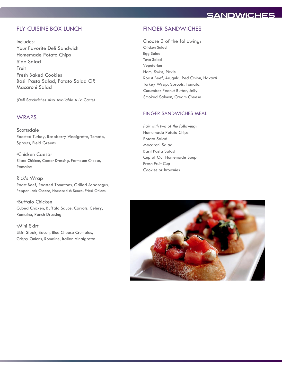# **SANDWICHES**

## FLY CUISINE BOX LUNCH

#### Includes:

Your Favorite Deli Sandwich Homemade Potato Chips Side Salad Fruit Fresh Baked Cookies Basil Pasta Salad, Potato Salad *OR* Macaroni Salad

*(Deli Sandwiches Also Available A La Carte)*

#### **WRAPS**

**Scottsdale** Roasted Turkey, Raspberry Vinaigrette, Tomato, Sprouts, Field Greens

\*Chicken Caesar Sliced Chicken, Caesar Dressing, Parmesan Cheese, Romaine

Rick's Wrap Roast Beef, Roasted Tomatoes, Grilled Asparagus, Pepper Jack Cheese, Horseradish Sauce, Fried Onions

\*Buffalo Chicken Cubed Chicken, Buffalo Sauce, Carrots, Celery, Romaine, Ranch Dressing

\*Mini Skirt Skirt Steak, Bacon, Blue Cheese Crumbles, Crispy Onions, Romaine, Italian Vinaigrette

## FINGER SANDWICHES

Choose 3 of the following: Chicken Salad Egg Salad Tuna Salad Vegetarian Ham, Swiss, Pickle Roast Beef, Arugula, Red Onion, Havarti Turkey Wrap, Sprouts, Tomato, Cucumber Peanut Butter, Jelly Smoked Salmon, Cream Cheese

#### FINGER SANDWICHES MEAL

*Pair with two of the following:* Homemade Potato Chips Potato Salad Macaroni Salad Basil Pasta Salad Cup of Our Homemade Soup Fresh Fruit Cup Cookies or Brownies

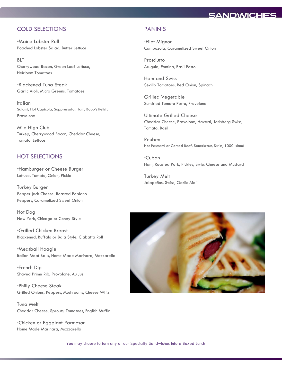# **SANDWICHES**

# COLD SELECTIONS

\*Maine Lobster Roll Poached Lobster Salad, Butter Lettuce

BLT Cherrywood Bacon, Green Leaf Lettuce, Heirloom Tomatoes

\*Blackened Tuna Steak Garlic Aioli, Micro Greens, Tomatoes

Italian Salami, Hot Capicola, Soppressata, Ham, Bobo's Relish, Provolone

Mile High Club Turkey, Cherrywood Bacon, Cheddar Cheese, Tomato, Lettuce

## HOT SELECTIONS

\*Hamburger or Cheese Burger Lettuce, Tomato, Onion, Pickle

Turkey Burger Pepper jack Cheese, Roasted Poblano Peppers, Caramelized Sweet Onion

Hot Dog New York, Chicago or Coney Style

\*Grilled Chicken Breast Blackened, Buffalo or Baja Style, Ciabatta Roll

\*Meatball Hoagie Italian Meat Balls, Home Made Marinara, Mozzarella

\*French Dip Shaved Prime Rib, Provolone, Au Jus

\*Philly Cheese Steak Grilled Onions, Peppers, Mushrooms, Cheese Whiz

Tuna Melt Cheddar Cheese, Sprouts, Tomatoes, English Muffin

\*Chicken or Eggplant Parmesan Home Made Marinara, Mozzarella

#### PANINIS

\*Filet Mignon Cambozola, Caramelized Sweet Onion

Prosciutto Arugula, Fontina, Basil Pesto

Ham and Swiss Sevillo Tomatoes, Red Onion, Spinach

Grilled Vegetable Sundried Tomato Pesto, Provolone

Ultimate Grilled Cheese Cheddar Cheese, Provolone, Havarti, Jarlsberg Swiss, Tomato, Basil

Reuben Hot Pastrami or Corned Beef, Sauerkraut, Swiss, 1000 Island

\*Cuban Ham, Roasted Pork, Pickles, Swiss Cheese and Mustard

Turkey Melt Jalapeños, Swiss, Garlic Aioli



You may choose to turn any of our Specialty Sandwiches into a Boxed Lunch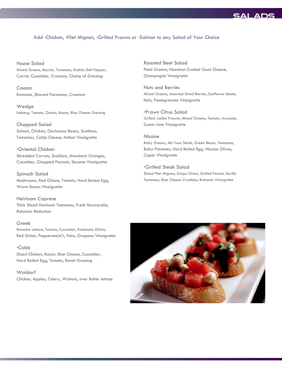# **SAL**

#### Add \*Chicken, \*Filet Mignon, \*Grilled Prawns or \*Salmon to any Salad of Your Choice

House Salad Mixed Greens, Boursin, Tomatoes, Radish, Bell Pepper, Carrot, Cucumber, Croutons, Choice of Dressing

Caesar Romaine, Shaved Parmesan, Croutons

Wedge Iceberg, Tomato, Onions, Bacon, Blue Cheese Dressing

Chopped Salad Salami, Chicken, Garbanzo Beans, Scallions, Tomatoes, Cotija Cheese, Italian Vinaigrette

\*Oriental Chicken Shredded Carrots, Scallions, Mandarin Oranges, Cucumber, Chopped Peanuts, Sesame Vinaigrette

Spinach Salad Mushrooms, Red Onions, Tomato, Hard Boiled Egg, Warm Bacon Vinaigrette

Heirloom Caprese Thick Sliced Heirloom Tomatoes, Fresh Mozzarella, Balsamic Reduction

Greek Romaine Lettuce, Tomato, Cucumber, Kalamata Olives, Red Onion, Pepperoncini's, Feta, Oregano Vinaigrette

\*Cobb Diced Chicken, Bacon, Blue Cheese, Cucumber, Hard Boiled Egg, Tomato, Ranch Dressing

**Waldorf** Chicken, Apples, Celery, Walnuts, over Butter lettuce

Roasted Beet Salad Field Greens, Hazelnut Crusted Goat Cheese, Champagne Vinaigrette

Nuts and Berries Mixed Greens, Assorted Dried Berries, Sunflower Seeds, Nuts, Pomegranate Vinaigrette

\*Prawn Citrus Salad Grilled Jumbo Prawns, Mixed Greens, Tomato, Avocado, Cumin Lime Vinaigrette

Nicoise Baby Greens, Ahi Tuna Steak, Green Beans, Tomatoes, Baby Potatoes, Hard Boiled Egg, Nicoise Olives, Caper Vinaigrette

\*Grilled Steak Salad Sliced Filet Mignon, Crispy Onion, Grilled Fennel, Sevillo Tomatoes, Blue Cheese Crumbles, Balsamic Vinaigrette

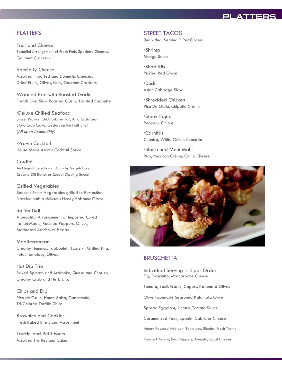# PLATTERS

## PLATTERS

Fruit and Cheese Beautiful Arrangement of Fresh Fruit, Specialty Cheeses, Gourmet Crackers

Specialty Cheese Assorted Imported and Domestic Cheeses, Dried Fruits, Olives, Nuts, Gourmet Crackers

Warmed Brie with Roasted Garlic French Brie, Slow Roasted Garlic, Toasted Baguette

\*Deluxe Chilled Seafood Sweet Prawns, Chick Lobster Tail, King Crab Legs *Stone Crab Claws,* Oysters on the Half Shell *(All upon Availability)*

\*Prawn Cocktail House Made Atomic Cocktail Sauce

Crudité An Elegant Selection of Crunchy Vegetables, Creamy Dill Ranch or Cusabi Dipping Sauce

Grilled Vegetables Seasons Finest Vegetables grilled to Perfection Drizzled with a delicious Honey Balsamic Glaze

Italian Deli A Beautiful Arrangement of Imported Cured Italian Meats, Roasted Peppers, Olives, Marinated Artichokes Hearts

Mediterranean Creamy Hummus, Tabbouleh, Tzatziki, Grilled Pita, Feta, Tomatoes, Olives

Hot Dip Trio Baked Spinach and Artichoke, Queso and Chorizo, Creamy Crab and Herb Dip,

Chips and Dip Pico de Gallo, House Salsa, Guacamole, Tri-Colored Tortilla Chips

Brownies and Cookies Fresh Baked Bite Sized Assortment

Truffle and Petit Fours Assorted Truffles and Cakes

#### STREET TACOS

(Individual Serving 2 Per Order)

\*Shrimp Mango Salsa

\*Short Rib Pickled Red Onion

\*Duck Asian Cabbage Slaw

\*Shredded Chicken Pico De Gallo, Chipotle Crème

\*Steak Fajita Peppers, Onions

\*Carnitas Cilantro, White Onion, Avocado

\*Blackened Mahi Mahi Pico, Mexican Crème, Cotija Cheese



#### **BRUSCHETTA**

Individual Serving is 4 per Order Fig, Prosciutto, Mascarpone Cheese

Tomato, Basil, Garlic, Capers, Kalamata Olives

Olive Tapenade Seasoned Kalamata Olive

Spread Eggplant, Ricotta, Tomato Sauce

Caramelized Pear, Spanish Cabrales Cheese

Honey Roasted Heirloom Tomatoes, Ricotta, Fresh Thyme

Roasted Yellow, Red Peppers, Arugula, Goat Cheese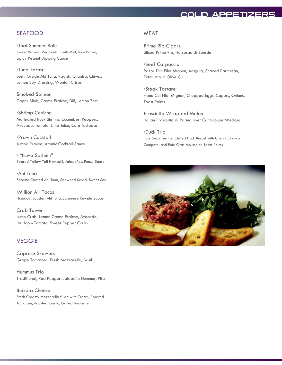# **COLD APPETIZERS**

#### SEAFOOD

\*Thai Summer Rolls Sweet Prawns, Vermicelli, Fresh Mint, Rice Paper, Spicy Peanut Dipping Sauce

\*Tuna Tartar Sushi Grade Ahi Tuna, Radish, Cilantro, Chives, Lemon Soy Dressing, Wonton Crisps

Smoked Salmon Caper Blinis, Crème Fraiche, Dill, Lemon Zest

\*Shrimp Ceviche Marinated Rock Shrimp, Cucumber, Peppers, Avocado, Tomato, Lime Juice, Corn Tostadas

\*Prawn Cocktail Jumbo Prawns, Atomic Cocktail Sauce

\* "Nuvo Sashimi" Seared Yellow Tail Hamachi, Jalapeños, Ponzu Sauce

\*Ahi Tuna Sesame Crusted Ahi Tuna, Seaweed Salad, Sweet Soy

\*Million Air Tacos Hamachi, Lobster, Ahi Tuna, Japanese Kewpie Sauce

Crab Tower Lump Crab, Lemon Crème Fraiche, Avocado, Heirloom Tomato, Sweet Pepper Coulis

## **VEGGIE**

Caprese Skewers Grape Tomatoes, Fresh Mozzarella, Basil

Hummus Trio Traditional, Red Pepper, Jalapeño Hummus, Pita

Burrata Cheese Fresh Creamy Mozzarella filled with Cream, Roasted Tomatoes, Roasted Garlic, Grilled Baguette

#### MEAT

Prime Rib Cigars Sliced Prime Rib, Horseradish Boursin

\*Beef Carpaccio Razor Thin Filet Mignon, Arugula, Shaved Parmesan, Extra Virgin Olive Oil

\*Steak Tartare Hand Cut Filet Mignon, Chopped Eggs, Capers, Onions, Toast Points

Prosciutto Wrapped Melon Italian Prosciutto di Parma over Cantaloupe Wedges

\*Duck Trio Foie Gras Terrine, Chilled Duck Breast with Cherry Orange Compote, and Foie Gras Mousse on Toast Points

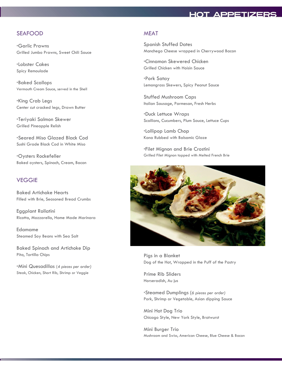#### SEAFOOD

\*Garlic Prawns Grilled Jumbo Prawns, Sweet Chili Sauce

\*Lobster Cakes Spicy Remoulade

\*Baked Scallops Vermouth Cream Sauce, served in the Shell

\*King Crab Legs Center cut cracked legs, Drawn Butter

\*Teriyaki Salmon Skewer Grilled Pineapple Relish

\*Seared Miso Glazed Black Cod Sushi Grade Black Cod in White Miso

\*Oysters Rockefeller Baked oysters, Spinach, Cream, Bacon

#### **VEGGIE**

Baked Artichoke Hearts Filled with Brie, Seasoned Bread Crumbs

Eggplant Rollatini Ricotta, Mozzarella, Home Made Marinara

Edamame Steamed Soy Beans with Sea Salt

Baked Spinach and Artichoke Dip Pita, Tortilla Chips

\*Mini Quesadillas (*4 pieces per order)* Steak, Chicken, Short Rib, Shrimp or Veggie

## **MEAT**

Spanish Stuffed Dates Manchego Cheese wrapped in Cherrywood Bacon

\*Cinnamon Skewered Chicken Grilled Chicken with Hoisin Sauce

\*Pork Satay Lemongrass Skewers, Spicy Peanut Sauce

Stuffed Mushroom Caps Italian Sausage, Parmesan, Fresh Herbs

\*Duck Lettuce Wraps Scallions, Cucumbers, Plum Sauce, Lettuce Cups

\*Lollipop Lamb Chop Kona Rubbed with Balsamic Glaze

\*Filet Mignon and Brie Crostini Grilled Filet Mignon topped with Melted French Brie



Pigs in a Blanket Dog of the Hot, Wrapped in the Puff of the Pastry

Prime Rib Sliders Horseradish, Au jus

\*Steamed Dumplings (*6 pieces per order)* Pork, Shrimp or Vegetable, Asian dipping Sauce

Mini Hot Dog Trio Chicago Style, New York Style, Bratwurst

Mini Burger Trio Mushroom and Swiss, American Cheese, Blue Cheese & Bacon

# **HOT APPETIZERS**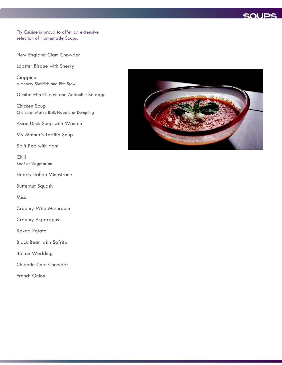

#### Fly Cuisine is proud to offer an extensive selection of Homemade Soups.

New England Clam Chowder

Lobster Bisque with Sherry

Cioppino A Hearty Shellfish and Fish Stew

Gumbo with Chicken and Andouille Sausage

Chicken Soup Choice of Matzo Ball, Noodle or Dumpling

Asian Duck Soup with Wonton

My Mother's Tortilla Soup

Split Pea with Ham

Chili Beef or Vegetarian

Hearty Italian Minestrone

Butternut Squash

Miso

Creamy Wild Mushroom

Creamy Asparagus

Baked Potato

Black Bean with Sofrito

Italian Wedding

Chipotle Corn Chowder

French Onion

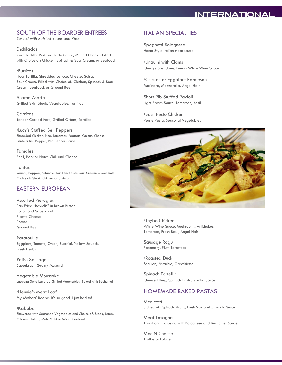# **INTERNATIONAL**

## SOUTH OF THE BOARDER ENTREES

*Served with Refried Beans and Rice*

Enchiladas Corn Tortilla, Red Enchilada Sauce, Melted Cheese. Filled with Choice of: Chicken, Spinach & Sour Cream, or Seafood

#### \*Burritos

Flour Tortilla, Shredded Lettuce, Cheese, Salsa, Sour Cream. Filled with Choice of: Chicken, Spinach & Sour Cream, Seafood, or Ground Beef

\*Carne Asada Grilled Skirt Steak, Vegetables, Tortillas

Carnitas Tender Cooked Pork, Grilled Onions, Tortillas

\*Lucy's Stuffed Bell Peppers Shredded Chicken, Rice, Tomatoes, Peppers, Onions, Cheese inside a Bell Pepper, Red Pepper Sauce

Tamales Beef, Pork or Hatch Chili and Cheese

Fajitas Onions, Peppers, Cilantro, Tortillas, Salsa, Sour Cream, Guacamole, Choice of: Steak, Chicken or Shrimp

## EASTERN EUROPEAN

Assorted Pierogies Pan Fried "Raviolis" in Brown Butter: Bacon and Sauerkraut Ricotta Cheese Potato Ground Beef

**Ratatouille** Eggplant, Tomato, Onion, Zucchini, Yellow Squash, Fresh Herbs

Polish Sausage Sauerkraut, Grainy Mustard

Vegetable Moussaka Lasagna Style Layered Grilled Vegetables, Baked with Béchamel

\*Hennie's Meat Loaf My Mothers' Recipe. It's so good, I just had to!

\*Kabobs Skewered with Seasoned Vegetables and Choice of: Steak, Lamb, Chicken, Shrimp, Mahi Mahi or Mixed Seafood

## ITALIAN SPECIALTIES

Spaghetti Bolognese Home Style Italian meat sauce

\*Linguini with Clams Cherrystone Clams, Lemon White Wine Sauce

\*Chicken or Eggplant Parmesan Marinara, Mozzarella, Angel Hair

Short Rib Stuffed Ravioli Light Brown Sauce, Tomatoes, Basil

\*Basil Pesto Chicken Penne Pasta, Seasonal Vegetables



\*Thybo Chicken White Wine Sauce, Mushrooms, Artichokes, Tomatoes, Fresh Basil, Angel Hair

Sausage Ragu Rosemary, Plum Tomatoes

\*Roasted Duck Scallion, Pistachio, Orecchiette

Spinach Tortellini Cheese Filling, Spinach Pasta, Vodka Sauce

## HOMEMADE BAKED PASTAS

**Manicotti** Stuffed with Spinach, Ricotta, Fresh Mozzarella, Tomato Sauce

Meat Lasagna Traditional Lasagna with Bolognese and Béchamel Sauce

Mac N Cheese Truffle or Lobster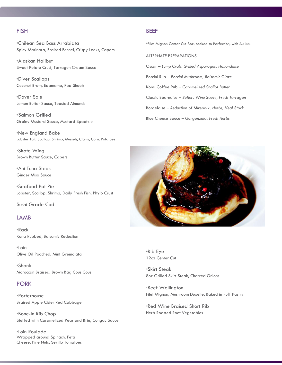# **FISH**

\*Chilean Sea Bass Arrabiata Spicy Marinara, Braised Fennel, Crispy Leeks, Capers

\*Alaskan Halibut Sweet Potato Crust, Tarragon Cream Sauce

\*Diver Scallops Coconut Broth, Edamame, Pea Shoots

\*Dover Sole Lemon Butter Sauce, Toasted Almonds

\*Salmon Grilled Grainy Mustard Sauce, Mustard Spaetzle

\*New England Bake Lobster Tail, Scallop, Shrimp, Mussels, Clams, Corn, Potatoes

\*Skate Wing Brown Butter Sauce, Capers

\*Ahi Tuna Steak Ginger Miso Sauce

\*Seafood Pot Pie Lobster, Scallop, Shrimp, Daily Fresh Fish, Phylo Crust

Sushi Grade Cod

#### **LAMB**

\*Rack Kona Rubbed, Balsamic Reduction

\*Loin Olive Oil Poached, Mint Gremolata

\*Shank Moroccan Braised, Brown Bag Cous Cous

#### PORK

\*Porterhouse Braised Apple Cider Red Cabbage

\*Bone-In Rib Chop Stuffed with Caramelized Pear and Brie, Congac Sauce

\*Loin Roulade Wrapped around Spinach, Feta Cheese, Pine Nuts, Sevillo Tomatoes

#### BEEF

\*Filet Mignon Center Cut 8oz, cooked to Perfection, with Au Jus.

ALTERNATE PREPARATIONS Oscar – *Lump Crab, Grilled Asparagus, Hollandaise* Porcini Rub – *Porcini Mushroom, Balsamic Glaze* Kona Coffee Rub – *Caramelized Shallot Butter* Classic Béarnaise – *Butter, Wine Sauce, Fresh Tarragon* Bordelaise – *Reduction of Mirepoix, Herbs, Veal Stock* Blue Cheese Sauce – *Gorgonzola, Fresh Herbs*



\*Rib Eye 12oz Center Cut

\*Skirt Steak 8oz Grilled Skirt Steak, Charred Onions

\*Beef Wellington Filet Mignon, Mushroom Duxelle, Baked in Puff Pastry

\*Red Wine Braised Short Rib Herb Roasted Root Vegetables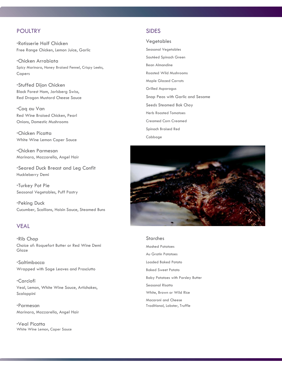# POULTRY

\*Rotisserie Half Chicken Free Range Chicken, Lemon Juice, Garlic

\*Chicken Arrabiata Spicy Marinara, Honey Braised Fennel, Crispy Leeks, Capers

\*Stuffed Dijon Chicken Black Forest Ham, Jarlsberg Swiss, Red Dragon Mustard Cheese Sauce

\*Coq au Van Red Wine Braised Chicken, Pearl Onions, Domestic Mushrooms

\*Chicken Picatta White Wine Lemon Caper Sauce

\*Chicken Parmesan Marinara, Mozzarella, Angel Hair

\*Seared Duck Breast and Leg Confit Huckleberry Demi

\*Turkey Pot Pie Seasonal Vegetables, Puff Pastry

\*Peking Duck Cucumber, Scallions, Hoisin Sauce, Steamed Buns

#### VEAL

\*Rib Chop Choice of: Roquefort Butter or Red Wine Demi Glaze

\*Saltimbocca Wrapped with Sage Leaves and Prosciutto

\*Carciofi Veal, Lemon, White Wine Sauce, Artichokes, Scaloppini

\*Parmesan Marinara, Mozzarella, Angel Hair

\*Veal Picatta White Wine Lemon, Caper Sauce

## SIDES

Vegetables Seasonal Vegetables Sautéed Spinach Green Bean Almandine Roasted Wild Mushrooms Maple Glazed Carrots Grilled Asparagus Snap Peas with Garlic and Sesame Seeds Steamed Bok Choy Herb Roasted Tomatoes Creamed Corn Creamed Spinach Braised Red Cabbage



#### **Starches**

Mashed Potatoes Au Gratin Potatoes Loaded Baked Potato Baked Sweet Potato Baby Potatoes with Parsley Butter Seasonal Risotto White, Brown or Wild Rice Macaroni and Cheese Traditional, Lobster, Truffle